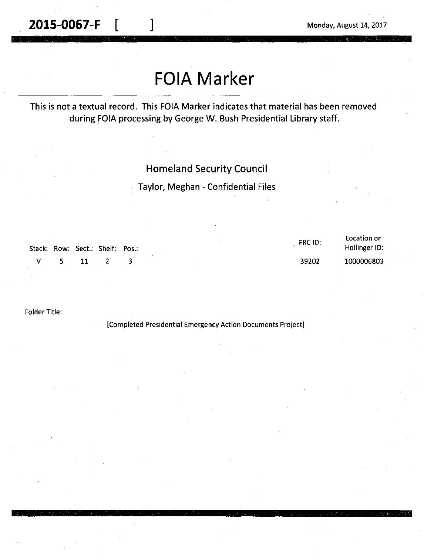**2015-0067-F**  $\begin{bmatrix} 1 & 1 \end{bmatrix}$  Monday, August 14, 2017

## **FOIA Marker**

This is not a textual record. This FOIA Marker indicates that material has been removed during FOIA processing by George W. Bush Presidential Library staff.

## Homeland Security Council

Taylor, Meghan - Confidential Files

|   |    |      | Stack: Row: Sect.: Shelf: Pos.: | FRC ID: | Location or<br>Hollinger ID: |
|---|----|------|---------------------------------|---------|------------------------------|
| v | 5. | - 11 |                                 | 39202   | 1000006803                   |

Folder Title:

!Completed Presidential Emergency Action Documents Project]